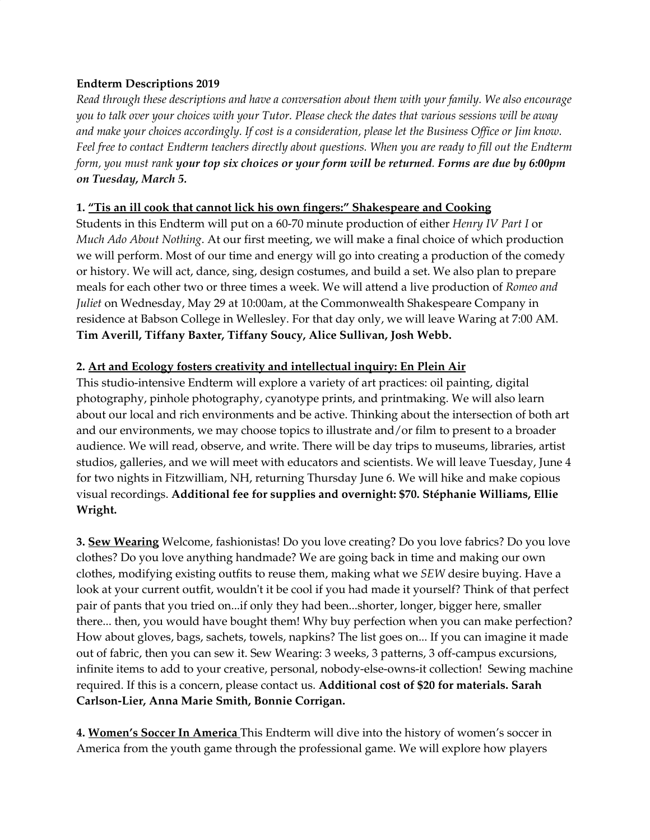## **Endterm Descriptions 2019**

*Read through these descriptions and have a conversation about them with your family. We also encourage* you to talk over your choices with your Tutor. Please check the dates that various sessions will be away and make your choices accordingly. If cost is a consideration, please let the Business Office or Jim know. Feel free to contact Endterm teachers directly about questions. When you are ready to fill out the Endterm form, you must rank your top six choices or your form will be returned. Forms are due by 6:00pm *on Tuesday, March 5.*

## **1. "Tis an ill cook that cannot lick his own fingers:" Shakespeare and Cooking**

Students in this Endterm will put on a 60-70 minute production of either *Henry IV Part I* or *Much Ado About Nothing*. At our first meeting, we will make a final choice of which production we will perform. Most of our time and energy will go into creating a production of the comedy or history. We will act, dance, sing, design costumes, and build a set. We also plan to prepare meals for each other two or three times a week. We will attend a live production of *Romeo and Juliet* on Wednesday, May 29 at 10:00am, at the Commonwealth Shakespeare Company in residence at Babson College in Wellesley. For that day only, we will leave Waring at 7:00 AM. **Tim Averill, Tiffany Baxter, Tiffany Soucy, Alice Sullivan, Josh Webb.**

## **2. Art and Ecology fosters creativity and intellectual inquiry: En Plein Air**

This studio-intensive Endterm will explore a variety of art practices: oil painting, digital photography, pinhole photography, cyanotype prints, and printmaking. We will also learn about our local and rich environments and be active. Thinking about the intersection of both art and our environments, we may choose topics to illustrate and/or film to present to a broader audience. We will read, observe, and write. There will be day trips to museums, libraries, artist studios, galleries, and we will meet with educators and scientists. We will leave Tuesday, June 4 for two nights in Fitzwilliam, NH, returning Thursday June 6. We will hike and make copious visual recordings. **Additional fee for supplies and overnight: \$70. Stéphanie Williams, Ellie Wright.**

**3. Sew Wearing** Welcome, fashionistas! Do you love creating? Do you love fabrics? Do you love clothes? Do you love anything handmade? We are going back in time and making our own clothes, modifying existing outfits to reuse them, making what we *SEW* desire buying. Have a look at your current outfit, wouldn't it be cool if you had made it yourself? Think of that perfect pair of pants that you tried on...if only they had been...shorter, longer, bigger here, smaller there... then, you would have bought them! Why buy perfection when you can make perfection? How about gloves, bags, sachets, towels, napkins? The list goes on... If you can imagine it made out of fabric, then you can sew it. Sew Wearing: 3 weeks, 3 patterns, 3 off-campus excursions, infinite items to add to your creative, personal, nobody-else-owns-it collection! Sewing machine required. If this is a concern, please contact us. **Additional cost of \$20 for materials. Sarah Carlson-Lier, Anna Marie Smith, Bonnie Corrigan.**

**4. Women's Soccer In America** This Endterm will dive into the history of women's soccer in America from the youth game through the professional game. We will explore how players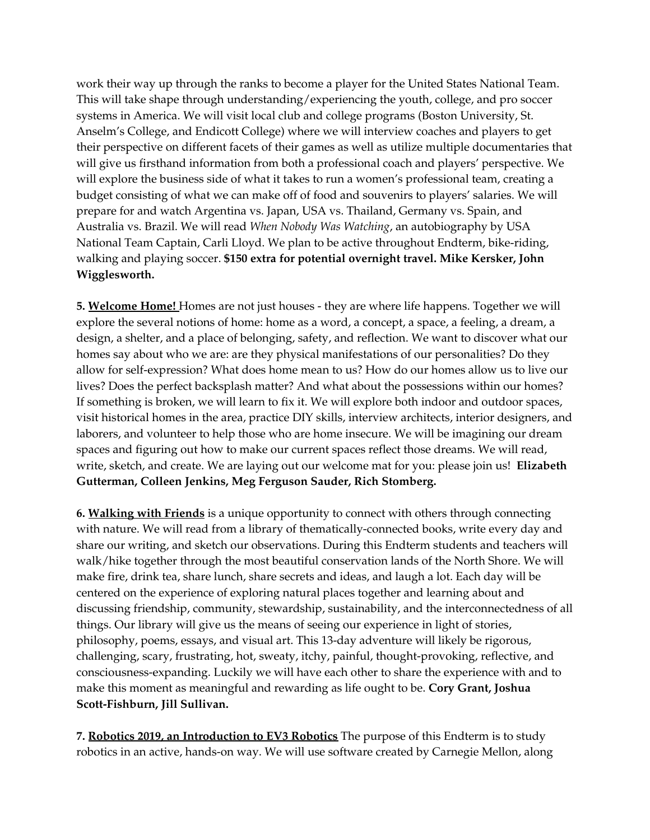work their way up through the ranks to become a player for the United States National Team. This will take shape through understanding/experiencing the youth, college, and pro soccer systems in America. We will visit local club and college programs (Boston University, St. Anselm's College, and Endicott College) where we will interview coaches and players to get their perspective on different facets of their games as well as utilize multiple documentaries that will give us firsthand information from both a professional coach and players' perspective. We will explore the business side of what it takes to run a women's professional team, creating a budget consisting of what we can make off of food and souvenirs to players' salaries. We will prepare for and watch Argentina vs. Japan, USA vs. Thailand, Germany vs. Spain, and Australia vs. Brazil. We will read *When Nobody Was Watching*, an autobiography by USA National Team Captain, Carli Lloyd. We plan to be active throughout Endterm, bike-riding, walking and playing soccer. **\$150 extra for potential overnight travel. Mike Kersker, John Wigglesworth.**

**5. Welcome Home!** Homes are not just houses - they are where life happens. Together we will explore the several notions of home: home as a word, a concept, a space, a feeling, a dream, a design, a shelter, and a place of belonging, safety, and reflection. We want to discover what our homes say about who we are: are they physical manifestations of our personalities? Do they allow for self-expression? What does home mean to us? How do our homes allow us to live our lives? Does the perfect backsplash matter? And what about the possessions within our homes? If something is broken, we will learn to fix it. We will explore both indoor and outdoor spaces, visit historical homes in the area, practice DIY skills, interview architects, interior designers, and laborers, and volunteer to help those who are home insecure. We will be imagining our dream spaces and figuring out how to make our current spaces reflect those dreams. We will read, write, sketch, and create. We are laying out our welcome mat for you: please join us! **Elizabeth Gutterman, Colleen Jenkins, Meg Ferguson Sauder, Rich Stomberg.**

**6. Walking with Friends** is a unique opportunity to connect with others through connecting with nature. We will read from a library of thematically-connected books, write every day and share our writing, and sketch our observations. During this Endterm students and teachers will walk/hike together through the most beautiful conservation lands of the North Shore. We will make fire, drink tea, share lunch, share secrets and ideas, and laugh a lot. Each day will be centered on the experience of exploring natural places together and learning about and discussing friendship, community, stewardship, sustainability, and the interconnectedness of all things. Our library will give us the means of seeing our experience in light of stories, philosophy, poems, essays, and visual art. This 13-day adventure will likely be rigorous, challenging, scary, frustrating, hot, sweaty, itchy, painful, thought-provoking, reflective, and consciousness-expanding. Luckily we will have each other to share the experience with and to make this moment as meaningful and rewarding as life ought to be. **Cory Grant, Joshua Scott-Fishburn, Jill Sullivan.**

**7. Robotics 2019, an Introduction to EV3 Robotics** The purpose of this Endterm is to study robotics in an active, hands-on way. We will use software created by Carnegie Mellon, along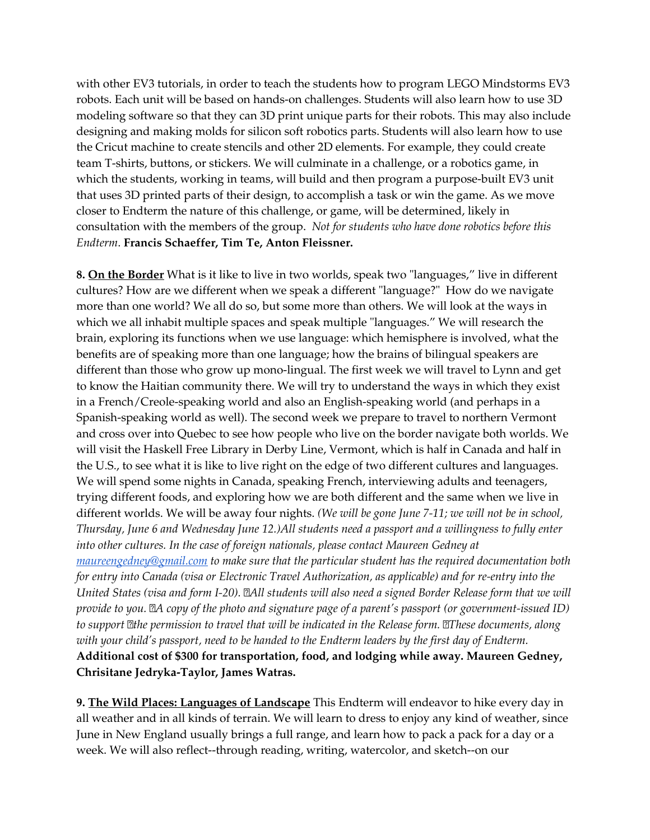with other EV3 tutorials, in order to teach the students how to program LEGO Mindstorms EV3 robots. Each unit will be based on hands-on challenges. Students will also learn how to use 3D modeling software so that they can 3D print unique parts for their robots. This may also include designing and making molds for silicon soft robotics parts. Students will also learn how to use the Cricut machine to create stencils and other 2D elements. For example, they could create team T-shirts, buttons, or stickers. We will culminate in a challenge, or a robotics game, in which the students, working in teams, will build and then program a purpose-built EV3 unit that uses 3D printed parts of their design, to accomplish a task or win the game. As we move closer to Endterm the nature of this challenge, or game, will be determined, likely in consultation with the members of the group. *Not for students who have done robotics before this Endterm*. **Francis Schaeffer, Tim Te, Anton Fleissner.**

**8. On the Border** What is it like to live in two worlds, speak two "languages," live in different cultures? How are we different when we speak a different "language?" How do we navigate more than one world? We all do so, but some more than others. We will look at the ways in which we all inhabit multiple spaces and speak multiple "languages." We will research the brain, exploring its functions when we use language: which hemisphere is involved, what the benefits are of speaking more than one language; how the brains of bilingual speakers are different than those who grow up mono-lingual. The first week we will travel to Lynn and get to know the Haitian community there. We will try to understand the ways in which they exist in a French/Creole-speaking world and also an English-speaking world (and perhaps in a Spanish-speaking world as well). The second week we prepare to travel to northern Vermont and cross over into Quebec to see how people who live on the border navigate both worlds. We will visit the Haskell Free Library in Derby Line, Vermont, which is half in Canada and half in the U.S., to see what it is like to live right on the edge of two different cultures and languages. We will spend some nights in Canada, speaking French, interviewing adults and teenagers, trying different foods, and exploring how we are both different and the same when we live in different worlds. We will be away four nights. *(We will be gone June 7-11; we will not be in school, Thursday, June 6 and Wednesday June 12.)All students need a passport and a willingness to fully enter into other cultures. In the case of foreign nationals, please contact Maureen Gedney at [maureengedney@gmail.com](mailto:maureengedney@gmail.com) to make sure that the particular student has the required documentation both for entry into Canada (visa or Electronic Travel Authorization, as applicable) and for re-entry into the* United States (visa and form I-20). <sup>[20]</sup> all students will also need a signed Border Release form that we will provide to you. A copy of the photo and signature page of a parent's passport (or government-issued ID) *to support the permission to travel that will be indicated in the Release form. These documents, along with your child's passport, need to be handed to the Endterm leaders by the first day of Endterm.* **Additional cost of \$300 for transportation, food, and lodging while away. Maureen Gedney, Chrisitane Jedryka-Taylor, James Watras.**

**9. The Wild Places: Languages of Landscape** This Endterm will endeavor to hike every day in all weather and in all kinds of terrain. We will learn to dress to enjoy any kind of weather, since June in New England usually brings a full range, and learn how to pack a pack for a day or a week. We will also reflect--through reading, writing, watercolor, and sketch--on our